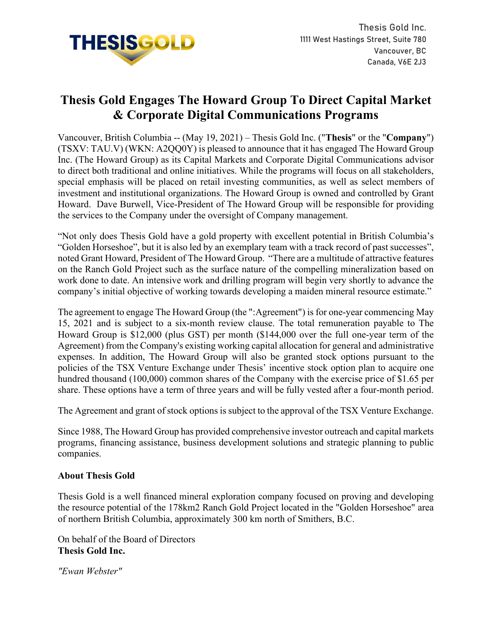

## **Thesis Gold Engages The Howard Group To Direct Capital Market & Corporate Digital Communications Programs**

Vancouver, British Columbia -- (May 19, 2021) – Thesis Gold Inc. ("**Thesis**" or the "**Company**") (TSXV: TAU.V) (WKN: A2QQ0Y) is pleased to announce that it has engaged The Howard Group Inc. (The Howard Group) as its Capital Markets and Corporate Digital Communications advisor to direct both traditional and online initiatives. While the programs will focus on all stakeholders, special emphasis will be placed on retail investing communities, as well as select members of investment and institutional organizations. The Howard Group is owned and controlled by Grant Howard. Dave Burwell, Vice-President of The Howard Group will be responsible for providing the services to the Company under the oversight of Company management.

"Not only does Thesis Gold have a gold property with excellent potential in British Columbia's "Golden Horseshoe", but it is also led by an exemplary team with a track record of past successes", noted Grant Howard, President of The Howard Group. "There are a multitude of attractive features on the Ranch Gold Project such as the surface nature of the compelling mineralization based on work done to date. An intensive work and drilling program will begin very shortly to advance the company's initial objective of working towards developing a maiden mineral resource estimate."

The agreement to engage The Howard Group (the ":Agreement") is for one-year commencing May 15, 2021 and is subject to a six-month review clause. The total remuneration payable to The Howard Group is \$12,000 (plus GST) per month (\$144,000 over the full one-year term of the Agreement) from the Company's existing working capital allocation for general and administrative expenses. In addition, The Howard Group will also be granted stock options pursuant to the policies of the TSX Venture Exchange under Thesis' incentive stock option plan to acquire one hundred thousand (100,000) common shares of the Company with the exercise price of \$1.65 per share. These options have a term of three years and will be fully vested after a four-month period.

The Agreement and grant of stock options is subject to the approval of the TSX Venture Exchange.

Since 1988, The Howard Group has provided comprehensive investor outreach and capital markets programs, financing assistance, business development solutions and strategic planning to public companies.

## **About Thesis Gold**

Thesis Gold is a well financed mineral exploration company focused on proving and developing the resource potential of the 178km2 Ranch Gold Project located in the "Golden Horseshoe" area of northern British Columbia, approximately 300 km north of Smithers, B.C.

On behalf of the Board of Directors **Thesis Gold Inc.**

*"Ewan Webster"*